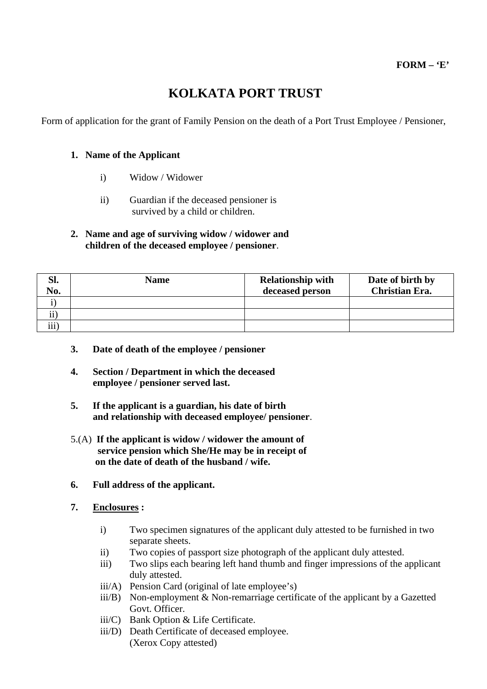# **KOLKATA PORT TRUST**

Form of application for the grant of Family Pension on the death of a Port Trust Employee / Pensioner,

## **1. Name of the Applicant**

- i) Widow / Widower
- ii) Guardian if the deceased pensioner is survived by a child or children.

## **2. Name and age of surviving widow / widower and children of the deceased employee / pensioner**.

| Sl.<br>No.            | <b>Name</b> | <b>Relationship with</b><br>deceased person | Date of birth by<br><b>Christian Era.</b> |
|-----------------------|-------------|---------------------------------------------|-------------------------------------------|
|                       |             |                                             |                                           |
| $\bullet\bullet\circ$ |             |                                             |                                           |
| $\cdots$<br>111       |             |                                             |                                           |

- **3. Date of death of the employee / pensioner**
- **4. Section / Department in which the deceased employee / pensioner served last.**
- **5. If the applicant is a guardian, his date of birth and relationship with deceased employee/ pensioner**.
- 5.(A) **If the applicant is widow / widower the amount of service pension which She/He may be in receipt of on the date of death of the husband / wife.**
- **6. Full address of the applicant.**
- **7. Enclosures :** 
	- i) Two specimen signatures of the applicant duly attested to be furnished in two separate sheets.
	- ii) Two copies of passport size photograph of the applicant duly attested.
	- iii) Two slips each bearing left hand thumb and finger impressions of the applicant duly attested.
	- iii/A) Pension Card (original of late employee's)
	- iii/B) Non-employment & Non-remarriage certificate of the applicant by a Gazetted Govt. Officer.
	- iii/C) Bank Option & Life Certificate.
	- iii/D) Death Certificate of deceased employee. (Xerox Copy attested)